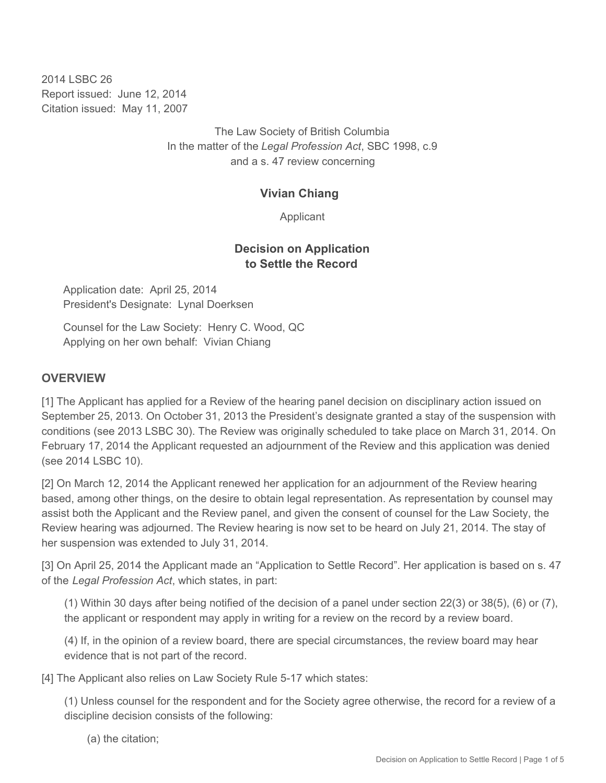2014 LSBC 26 Report issued: June 12, 2014 Citation issued: May 11, 2007

> The Law Society of British Columbia In the matter of the *Legal Profession Act*, SBC 1998, c.9 and a s. 47 review concerning

#### **Vivian Chiang**

Applicant

## **Decision on Application to Settle the Record**

Application date: April 25, 2014 President's Designate: Lynal Doerksen

Counsel for the Law Society: Henry C. Wood, QC Applying on her own behalf: Vivian Chiang

#### **OVERVIEW**

[1] The Applicant has applied for a Review of the hearing panel decision on disciplinary action issued on September 25, 2013. On October 31, 2013 the President's designate granted a stay of the suspension with conditions (see 2013 LSBC 30). The Review was originally scheduled to take place on March 31, 2014. On February 17, 2014 the Applicant requested an adjournment of the Review and this application was denied (see 2014 LSBC 10).

[2] On March 12, 2014 the Applicant renewed her application for an adjournment of the Review hearing based, among other things, on the desire to obtain legal representation. As representation by counsel may assist both the Applicant and the Review panel, and given the consent of counsel for the Law Society, the Review hearing was adjourned. The Review hearing is now set to be heard on July 21, 2014. The stay of her suspension was extended to July 31, 2014.

[3] On April 25, 2014 the Applicant made an "Application to Settle Record". Her application is based on s. 47 of the *Legal Profession Act*, which states, in part:

(1) Within 30 days after being notified of the decision of a panel under section 22(3) or 38(5), (6) or (7), the applicant or respondent may apply in writing for a review on the record by a review board.

(4) If, in the opinion of a review board, there are special circumstances, the review board may hear evidence that is not part of the record.

[4] The Applicant also relies on Law Society Rule 5-17 which states:

(1) Unless counsel for the respondent and for the Society agree otherwise, the record for a review of a discipline decision consists of the following:

(a) the citation;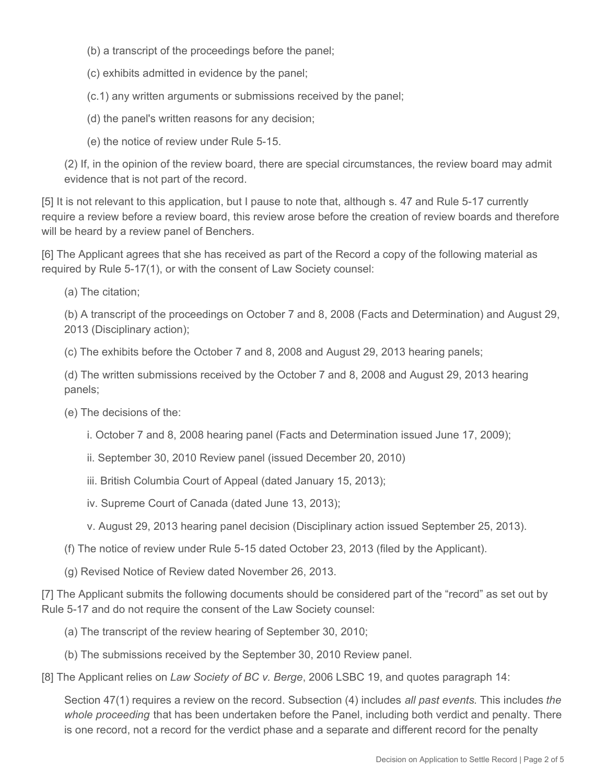- (b) a transcript of the proceedings before the panel;
- (c) exhibits admitted in evidence by the panel;

(c.1) any written arguments or submissions received by the panel;

- (d) the panel's written reasons for any decision;
- (e) the notice of review under Rule 5-15.

(2) If, in the opinion of the review board, there are special circumstances, the review board may admit evidence that is not part of the record.

[5] It is not relevant to this application, but I pause to note that, although s. 47 and Rule 5-17 currently require a review before a review board, this review arose before the creation of review boards and therefore will be heard by a review panel of Benchers.

[6] The Applicant agrees that she has received as part of the Record a copy of the following material as required by Rule 5-17(1), or with the consent of Law Society counsel:

(a) The citation;

(b) A transcript of the proceedings on October 7 and 8, 2008 (Facts and Determination) and August 29, 2013 (Disciplinary action);

(c) The exhibits before the October 7 and 8, 2008 and August 29, 2013 hearing panels;

(d) The written submissions received by the October 7 and 8, 2008 and August 29, 2013 hearing panels;

- (e) The decisions of the:
	- i. October 7 and 8, 2008 hearing panel (Facts and Determination issued June 17, 2009);
	- ii. September 30, 2010 Review panel (issued December 20, 2010)
	- iii. British Columbia Court of Appeal (dated January 15, 2013);
	- iv. Supreme Court of Canada (dated June 13, 2013);
	- v. August 29, 2013 hearing panel decision (Disciplinary action issued September 25, 2013).
- (f) The notice of review under Rule 5-15 dated October 23, 2013 (filed by the Applicant).
- (g) Revised Notice of Review dated November 26, 2013.

[7] The Applicant submits the following documents should be considered part of the "record" as set out by Rule 5-17 and do not require the consent of the Law Society counsel:

- (a) The transcript of the review hearing of September 30, 2010;
- (b) The submissions received by the September 30, 2010 Review panel.
- [8] The Applicant relies on *Law Society of BC v. Berge*, 2006 LSBC 19, and quotes paragraph 14:

Section 47(1) requires a review on the record. Subsection (4) includes *all past events*. This includes *the whole proceeding* that has been undertaken before the Panel, including both verdict and penalty. There is one record, not a record for the verdict phase and a separate and different record for the penalty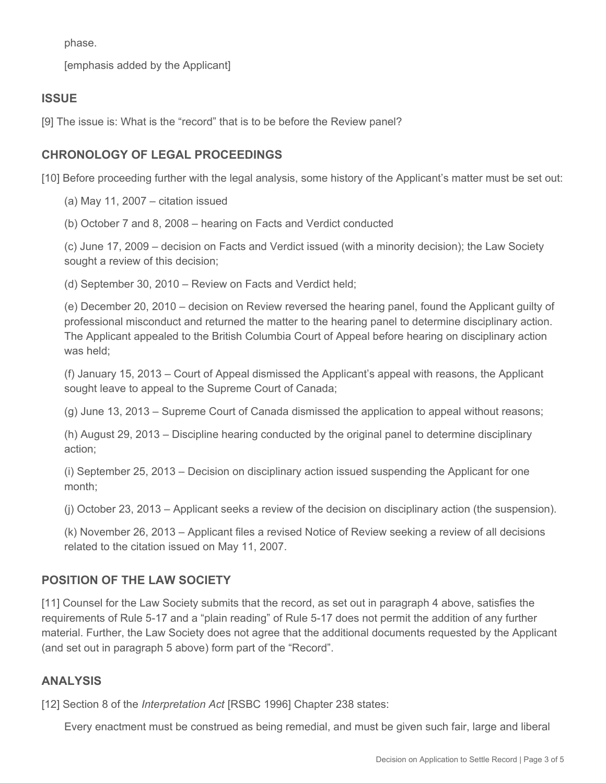phase.

[emphasis added by the Applicant]

## **ISSUE**

[9] The issue is: What is the "record" that is to be before the Review panel?

# **CHRONOLOGY OF LEGAL PROCEEDINGS**

[10] Before proceeding further with the legal analysis, some history of the Applicant's matter must be set out:

(a) May 11, 2007 – citation issued

(b) October 7 and 8, 2008 – hearing on Facts and Verdict conducted

(c) June 17, 2009 – decision on Facts and Verdict issued (with a minority decision); the Law Society sought a review of this decision;

(d) September 30, 2010 – Review on Facts and Verdict held;

(e) December 20, 2010 – decision on Review reversed the hearing panel, found the Applicant guilty of professional misconduct and returned the matter to the hearing panel to determine disciplinary action. The Applicant appealed to the British Columbia Court of Appeal before hearing on disciplinary action was held;

(f) January 15, 2013 – Court of Appeal dismissed the Applicant's appeal with reasons, the Applicant sought leave to appeal to the Supreme Court of Canada;

(g) June 13, 2013 – Supreme Court of Canada dismissed the application to appeal without reasons;

(h) August 29, 2013 – Discipline hearing conducted by the original panel to determine disciplinary action;

(i) September 25, 2013 – Decision on disciplinary action issued suspending the Applicant for one month;

(j) October 23, 2013 – Applicant seeks a review of the decision on disciplinary action (the suspension).

(k) November 26, 2013 – Applicant files a revised Notice of Review seeking a review of all decisions related to the citation issued on May 11, 2007.

## **POSITION OF THE LAW SOCIETY**

[11] Counsel for the Law Society submits that the record, as set out in paragraph 4 above, satisfies the requirements of Rule 5-17 and a "plain reading" of Rule 5-17 does not permit the addition of any further material. Further, the Law Society does not agree that the additional documents requested by the Applicant (and set out in paragraph 5 above) form part of the "Record".

## **ANALYSIS**

[12] Section 8 of the *Interpretation Act* [RSBC 1996] Chapter 238 states:

Every enactment must be construed as being remedial, and must be given such fair, large and liberal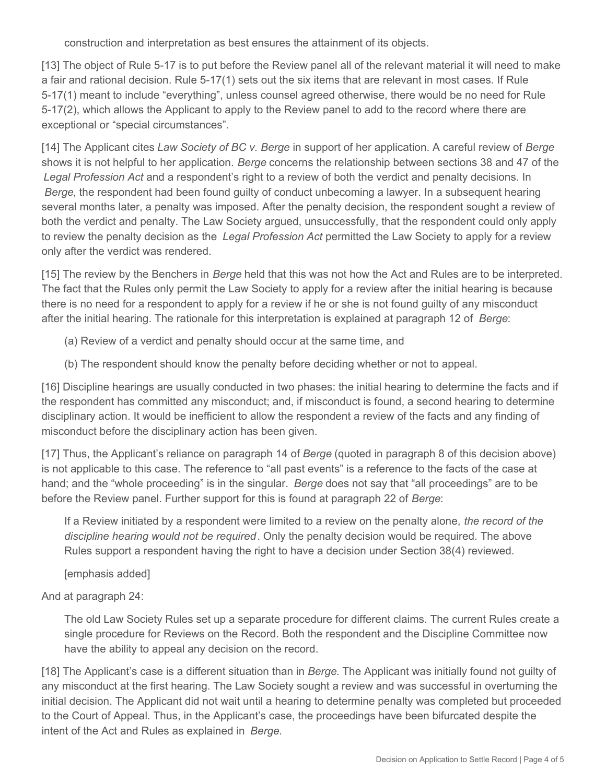construction and interpretation as best ensures the attainment of its objects.

[13] The object of Rule 5-17 is to put before the Review panel all of the relevant material it will need to make a fair and rational decision. Rule 5-17(1) sets out the six items that are relevant in most cases. If Rule 5-17(1) meant to include "everything", unless counsel agreed otherwise, there would be no need for Rule 5-17(2), which allows the Applicant to apply to the Review panel to add to the record where there are exceptional or "special circumstances".

[14] The Applicant cites *Law Society of BC v. Berge* in support of her application. A careful review of *Berge*  shows it is not helpful to her application. *Berge* concerns the relationship between sections 38 and 47 of the *Legal Profession Act* and a respondent's right to a review of both the verdict and penalty decisions. In *Berge*, the respondent had been found guilty of conduct unbecoming a lawyer. In a subsequent hearing several months later, a penalty was imposed. After the penalty decision, the respondent sought a review of both the verdict and penalty. The Law Society argued, unsuccessfully, that the respondent could only apply to review the penalty decision as the *Legal Profession Act* permitted the Law Society to apply for a review only after the verdict was rendered.

[15] The review by the Benchers in *Berge* held that this was not how the Act and Rules are to be interpreted. The fact that the Rules only permit the Law Society to apply for a review after the initial hearing is because there is no need for a respondent to apply for a review if he or she is not found guilty of any misconduct after the initial hearing. The rationale for this interpretation is explained at paragraph 12 of *Berge*:

- (a) Review of a verdict and penalty should occur at the same time, and
- (b) The respondent should know the penalty before deciding whether or not to appeal.

[16] Discipline hearings are usually conducted in two phases: the initial hearing to determine the facts and if the respondent has committed any misconduct; and, if misconduct is found, a second hearing to determine disciplinary action. It would be inefficient to allow the respondent a review of the facts and any finding of misconduct before the disciplinary action has been given.

[17] Thus, the Applicant's reliance on paragraph 14 of *Berge* (quoted in paragraph 8 of this decision above) is not applicable to this case. The reference to "all past events" is a reference to the facts of the case at hand; and the "whole proceeding" is in the singular. *Berge* does not say that "all proceedings" are to be before the Review panel. Further support for this is found at paragraph 22 of *Berge*:

If a Review initiated by a respondent were limited to a review on the penalty alone, *the record of the discipline hearing would not be required*. Only the penalty decision would be required. The above Rules support a respondent having the right to have a decision under Section 38(4) reviewed.

[emphasis added]

And at paragraph 24:

The old Law Society Rules set up a separate procedure for different claims. The current Rules create a single procedure for Reviews on the Record. Both the respondent and the Discipline Committee now have the ability to appeal any decision on the record.

[18] The Applicant's case is a different situation than in *Berge*. The Applicant was initially found not guilty of any misconduct at the first hearing. The Law Society sought a review and was successful in overturning the initial decision. The Applicant did not wait until a hearing to determine penalty was completed but proceeded to the Court of Appeal. Thus, in the Applicant's case, the proceedings have been bifurcated despite the intent of the Act and Rules as explained in *Berge*.